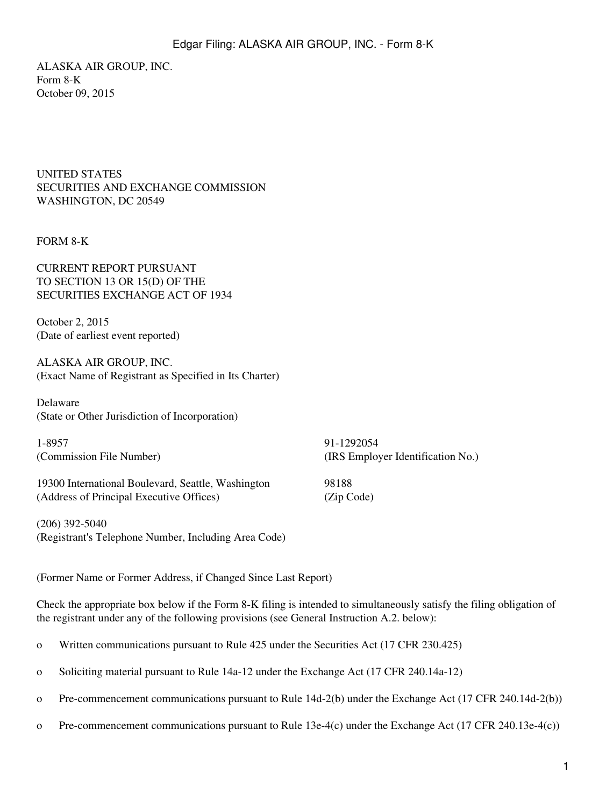ALASKA AIR GROUP, INC. Form 8-K October 09, 2015

UNITED STATES SECURITIES AND EXCHANGE COMMISSION WASHINGTON, DC 20549

## FORM 8-K

CURRENT REPORT PURSUANT TO SECTION 13 OR 15(D) OF THE SECURITIES EXCHANGE ACT OF 1934

October 2, 2015 (Date of earliest event reported)

ALASKA AIR GROUP, INC. (Exact Name of Registrant as Specified in Its Charter)

Delaware (State or Other Jurisdiction of Incorporation)

1-8957 91-1292054

(Commission File Number) (IRS Employer Identification No.)

19300 International Boulevard, Seattle, Washington 98188 (Address of Principal Executive Offices) (Zip Code)

(206) 392-5040 (Registrant's Telephone Number, Including Area Code)

(Former Name or Former Address, if Changed Since Last Report)

Check the appropriate box below if the Form 8-K filing is intended to simultaneously satisfy the filing obligation of the registrant under any of the following provisions (see General Instruction A.2. below):

o Written communications pursuant to Rule 425 under the Securities Act (17 CFR 230.425)

- o Soliciting material pursuant to Rule 14a-12 under the Exchange Act (17 CFR 240.14a-12)
- o Pre-commencement communications pursuant to Rule 14d-2(b) under the Exchange Act (17 CFR 240.14d-2(b))
- o Pre-commencement communications pursuant to Rule 13e-4(c) under the Exchange Act (17 CFR 240.13e-4(c))